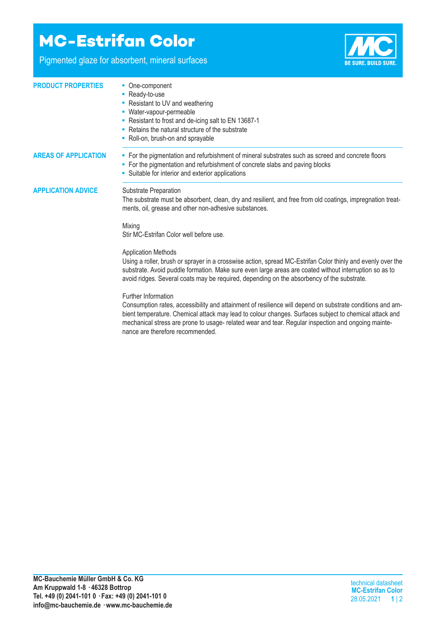## **MC-Estrifan Color**

Pigmented glaze for absorbent, mineral surfaces



| <b>PRODUCT PROPERTIES</b>   | • One-component<br>- Ready-to-use<br>• Resistant to UV and weathering<br>- Water-vapour-permeable<br>- Resistant to frost and de-icing salt to EN 13687-1<br>• Retains the natural structure of the substrate<br>• Roll-on, brush-on and sprayable                                                                                                |  |  |
|-----------------------------|---------------------------------------------------------------------------------------------------------------------------------------------------------------------------------------------------------------------------------------------------------------------------------------------------------------------------------------------------|--|--|
| <b>AREAS OF APPLICATION</b> | • For the pigmentation and refurbishment of mineral substrates such as screed and concrete floors<br>• For the pigmentation and refurbishment of concrete slabs and paving blocks<br>• Suitable for interior and exterior applications                                                                                                            |  |  |
| <b>APPLICATION ADVICE</b>   | Substrate Preparation<br>The substrate must be absorbent, clean, dry and resilient, and free from old coatings, impregnation treat-<br>ments, oil, grease and other non-adhesive substances.                                                                                                                                                      |  |  |
|                             | Mixing<br>Stir MC-Estrifan Color well before use.                                                                                                                                                                                                                                                                                                 |  |  |
|                             | <b>Application Methods</b><br>Using a roller, brush or sprayer in a crosswise action, spread MC-Estrifan Color thinly and evenly over the<br>substrate. Avoid puddle formation. Make sure even large areas are coated without interruption so as to<br>avoid ridges. Several coats may be required, depending on the absorbency of the substrate. |  |  |
|                             | Further Information                                                                                                                                                                                                                                                                                                                               |  |  |

Consumption rates, accessibility and attainment of resilience will depend on substrate conditions and ambient temperature. Chemical attack may lead to colour changes. Surfaces subject to chemical attack and mechanical stress are prone to usage- related wear and tear. Regular inspection and ongoing maintenance are therefore recommended.